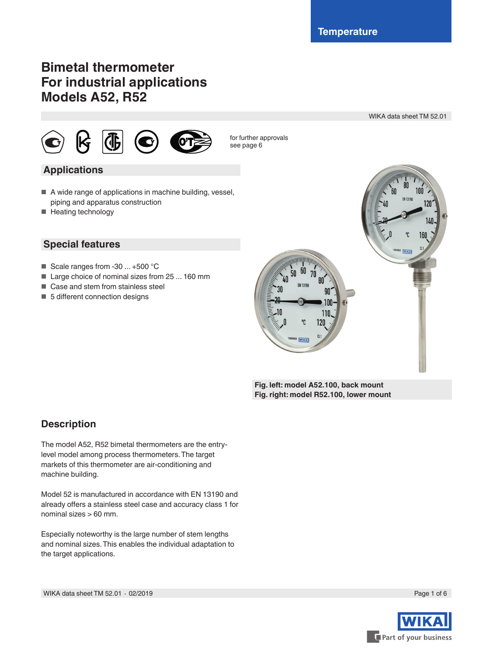WIKA data sheet TM 52.01

## **Bimetal thermometer For industrial applications Models A52, R52**



#### for further approvals see page 6

## **Applications**

- A wide range of applications in machine building, vessel, piping and apparatus construction
- Heating technology

### **Special features**

- Scale ranges from -30 ... +500 °C
- Large choice of nominal sizes from 25 ... 160 mm
- Case and stem from stainless steel
- 5 different connection designs



**Fig. left: model A52.100, back mount Fig. right: model R52.100, lower mount**

## **Description**

The model A52, R52 bimetal thermometers are the entrylevel model among process thermometers. The target markets of this thermometer are air-conditioning and machine building.

Model 52 is manufactured in accordance with EN 13190 and already offers a stainless steel case and accuracy class 1 for nominal sizes > 60 mm.

Especially noteworthy is the large number of stem lengths and nominal sizes. This enables the individual adaptation to the target applications.

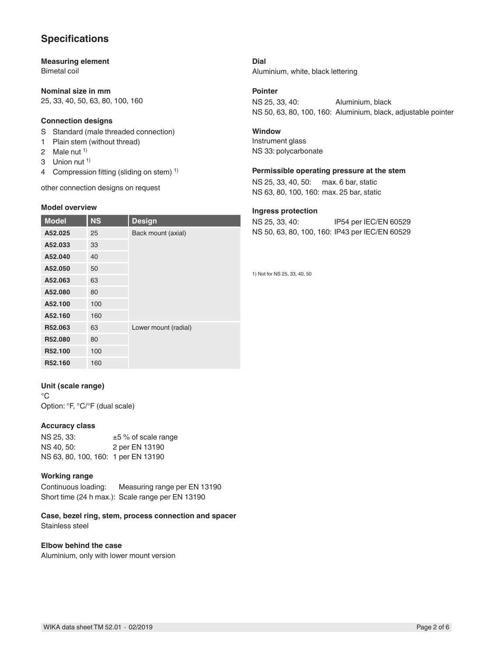## **Specifications**

**Measuring element** Bimetal coil

**Nominal size in mm** 25, 33, 40, 50, 63, 80, 100, 160

#### **Connection designs**

- S Standard (male threaded connection)
- 1 Plain stem (without thread)
- 2 Male nut<sup>1)</sup>
- 3 Union nut<sup>1)</sup>
- 4 Compression fitting (sliding on stem)<sup>1)</sup>

other connection designs on request

#### **Model overview**

| <b>Model</b> | <b>NS</b> | <b>Design</b>        |
|--------------|-----------|----------------------|
| A52.025      | 25        | Back mount (axial)   |
| A52.033      | 33        |                      |
| A52.040      | 40        |                      |
| A52.050      | 50        |                      |
| A52.063      | 63        |                      |
| A52.080      | 80        |                      |
| A52.100      | 100       |                      |
| A52.160      | 160       |                      |
| R52.063      | 63        | Lower mount (radial) |
| R52.080      | 80        |                      |
| R52.100      | 100       |                      |
| R52.160      | 160       |                      |

#### **Unit (scale range)**

 $^{\circ}C$ Option: °F, °C/°F (dual scale)

#### **Accuracy class**

NS 25, 33:  $±5%$  of scale range NS 40, 50: 2 per EN 13190 NS 63, 80, 100, 160: 1 per EN 13190

#### **Working range**

Continuous loading: Measuring range per EN 13190 Short time (24 h max.): Scale range per EN 13190

#### **Case, bezel ring, stem, process connection and spacer** Stainless steel

#### **Elbow behind the case**

Aluminium, only with lower mount version

**Dial** Aluminium, white, black lettering

#### **Pointer**

NS 25, 33, 40: Aluminium, black NS 50, 63, 80, 100, 160: Aluminium, black, adjustable pointer

#### **Window**

Instrument glass NS 33: polycarbonate

#### **Permissible operating pressure at the stem**

NS 25, 33, 40, 50: max. 6 bar, static NS 63, 80, 100, 160: max. 25 bar, static

#### **Ingress protection**

NS 25, 33, 40: IP54 per IEC/EN 60529 NS 50, 63, 80, 100, 160: IP43 per IEC/EN 60529

1) Not for NS 25, 33, 40, 50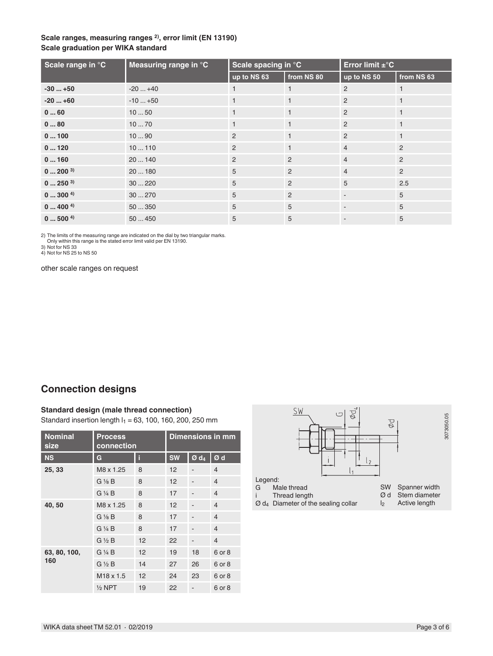#### **Scale ranges, measuring ranges 2), error limit (EN 13190) Scale graduation per WIKA standard**

| Scale range in °C | Measuring range in °C | Scale spacing in °C |                | Error limit ±°C          |                |
|-------------------|-----------------------|---------------------|----------------|--------------------------|----------------|
|                   |                       | up to NS 63         | from NS 80     | up to NS 50              | from NS 63     |
| $-30+50$          | $-20+40$              |                     |                | $\overline{2}$           |                |
| $-20+60$          | $-10+50$              |                     |                | 2                        |                |
| 060               | 1050                  |                     |                | 2                        | $\mathbf{1}$   |
| 080               | 1070                  |                     |                | 2                        |                |
| 0100              | 1090                  | 2                   |                | 2                        |                |
| 0120              | 10110                 | 2                   |                | $\overline{4}$           | $\overline{2}$ |
| 0160              | 20140                 | 2                   | $\overline{2}$ | $\overline{4}$           | $\overline{2}$ |
| $0200^{3}$        | 20180                 | 5                   | $\overline{2}$ | $\overline{4}$           | $\overline{2}$ |
| $0250^{3}$        | 30220                 | 5                   | $\overline{2}$ | 5                        | 2.5            |
| $0 \dots 300^{4}$ | 30270                 | 5                   | $\overline{2}$ | $\blacksquare$           | 5              |
| 04004             | 50350                 | 5                   | 5              |                          | 5              |
| 05004             | 50450                 | 5                   | 5              | $\overline{\phantom{a}}$ | 5              |

2) The limits of the measuring range are indicated on the dial by two triangular marks. Only within this range is the stated error limit valid per EN 13190.

3) Not for NS 33

4) Not for NS 25 to NS 50

other scale ranges on request

## **Connection designs**

#### **Standard design (male thread connection)**

Standard insertion length  $I_1 = 63$ , 100, 160, 200, 250 mm

| <b>Nominal</b><br>size | <b>Process</b><br>connection |    | Dimensions in mm |                    |                |
|------------------------|------------------------------|----|------------------|--------------------|----------------|
| <b>NS</b>              | G                            | i  | <b>SW</b>        | $Ø$ d <sub>4</sub> | Ød             |
| 25, 33                 | M8 x 1.25                    | 8  | 12               |                    | $\overline{4}$ |
|                        | $G\frac{1}{8}B$              | 8  | 12               |                    | $\overline{4}$ |
|                        | $G\mathrel{\vee} A B$        | 8  | 17               |                    | $\overline{4}$ |
| 40,50                  | M8 x 1.25                    | 8  | 12               |                    | $\overline{4}$ |
|                        | $G\frac{1}{8}B$              | 8  | 17               |                    | $\overline{4}$ |
|                        | $G\mathrel{\mathcal{H}} B$   | 8  | 17               |                    | $\overline{4}$ |
|                        | $G\frac{1}{2}B$              | 12 | 22               |                    | $\overline{4}$ |
| 63, 80, 100,           | $G\mathrel{\mathcal{H}} B$   | 12 | 19               | 18                 | 6 or 8         |
| 160                    | $G \frac{1}{2} B$            | 14 | 27               | 26                 | 6 or 8         |
|                        | M <sub>18</sub> x 1.5        | 12 | 24               | 23                 | 6 or 8         |
|                        | $\frac{1}{2}$ NPT            | 19 | 22               |                    | 6 or 8         |

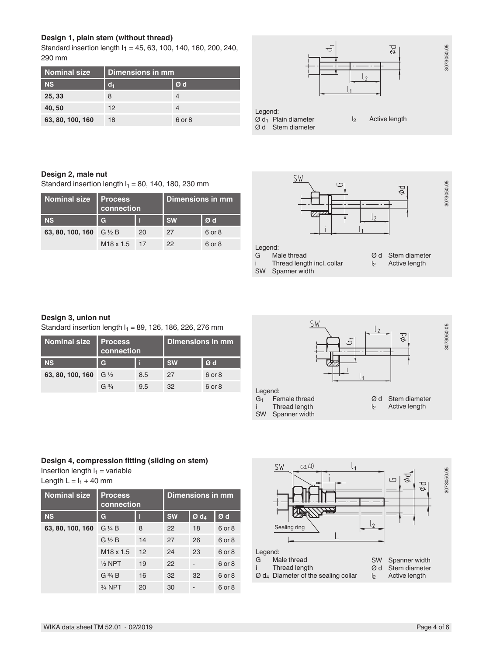#### **Design 1, plain stem (without thread)**

Standard insertion length I1 = 45, 63, 100, 140, 160, 200, 240, 290 mm

| Nominal size     | Dimensions in mm |        |  |  |  |
|------------------|------------------|--------|--|--|--|
| <b>NS</b>        | $d_1$            | Ød     |  |  |  |
| 25, 33           | 8                |        |  |  |  |
| 40,50            | 12               |        |  |  |  |
| 63, 80, 100, 160 | 18               | 6 or 8 |  |  |  |



#### **Design 2, male nut**

Standard insertion length  $I_1 = 80$ , 140, 180, 230 mm

| <b>Nominal size</b> | <b>Process</b><br>connection |    | Dimensions in mm |        |  |
|---------------------|------------------------------|----|------------------|--------|--|
| <b>NS</b>           | $\mathbf{C}$                 |    | <b>SW</b>        | Ød     |  |
| 63, 80, 100, 160    | $G\%B$                       | 20 | 27               | 6 or 8 |  |
|                     | M <sub>18</sub> x 1.5        | 17 | 22               | 6 or 8 |  |



#### **Design 3, union nut**

Standard insertion length  $I_1 = 89$ , 126, 186, 226, 276 mm

| <b>Nominal size</b> | <b>Process</b><br>connection |     | Dimensions in mm |        |  |
|---------------------|------------------------------|-----|------------------|--------|--|
| <b>NS</b>           | $\mathbf{C}$                 |     | <b>SW</b>        | Ød     |  |
| 63, 80, 100, 160    | $G\frac{1}{2}$               | 8.5 | 27               | 6 or 8 |  |
|                     | $G\frac{3}{4}$               | 9.5 | 32               | 6 or 8 |  |



#### **Design 4, compression fitting (sliding on stem)**

Insertion length  $I_1$  = variable

Length  $L = I_1 + 40$  mm

| <b>Nominal size</b> | <b>Process</b><br>connection |    | Dimensions in mm |                    |        |
|---------------------|------------------------------|----|------------------|--------------------|--------|
| <b>NS</b>           | G                            | i  | <b>SW</b>        | $Ø$ d <sub>4</sub> | Ød     |
| 63, 80, 100, 160    | $G\mathrel{\vee} A B$        | 8  | 22               | 18                 | 6 or 8 |
|                     | $G\frac{1}{2}B$              | 14 | 27               | 26                 | 6 or 8 |
|                     | $M18 \times 1.5$             | 12 | 24               | 23                 | 6 or 8 |
|                     | $1/2$ NPT                    | 19 | 22               |                    | 6 or 8 |
|                     | $G\frac{3}{4}B$              | 16 | 32               | 32                 | 6 or 8 |
|                     | 3/ <sub>4</sub> NPT          | 20 | 30               |                    | 6 or 8 |

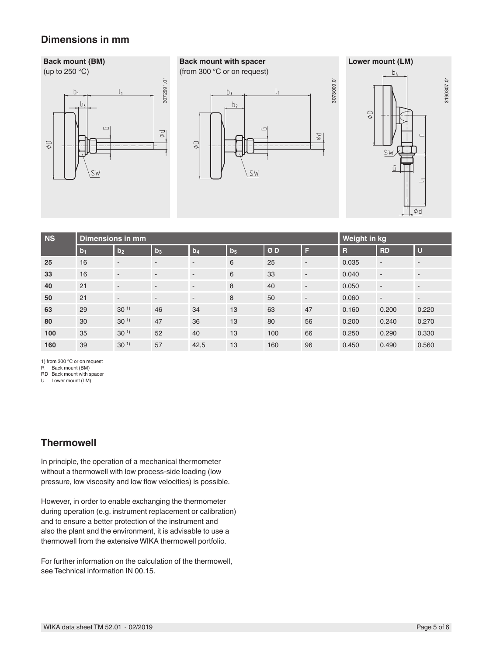## **Dimensions in mm**

# **Back mount (BM)** (up to 250 °C) **Back mount with spacer** (from 300 °C or on request)



| $\circledcirc$ | b <sub>1</sub><br>b <sub>5</sub><br>$\Box$<br>SW                                                                                                                                                                                                                                                               |                                    | 3072991.01<br>$\varphi$ $\varphi$ | $\oplus$                 | b <sub>3</sub><br>b <sub>2</sub> | ι,<br>$\qquad \qquad \Box$<br>SW | $\varphi$ $\varphi$      | 3073009.01              | $\mathbb{Q} \, \phi$<br>SW<br>G | 3190307.01<br>$\sqcup$<br>Ød |
|----------------|----------------------------------------------------------------------------------------------------------------------------------------------------------------------------------------------------------------------------------------------------------------------------------------------------------------|------------------------------------|-----------------------------------|--------------------------|----------------------------------|----------------------------------|--------------------------|-------------------------|---------------------------------|------------------------------|
| <b>NS</b>      |                                                                                                                                                                                                                                                                                                                | <b>Dimensions in mm</b>            |                                   |                          |                                  |                                  |                          | Weight in kg            |                                 |                              |
|                | b <sub>1</sub>                                                                                                                                                                                                                                                                                                 | b <sub>2</sub>                     | $b_3$                             | b <sub>4</sub>           | $b_5$                            | ØD                               | F                        | $\overline{\mathsf{R}}$ | <b>RD</b>                       | $\mathbf U$                  |
| 25             | 16                                                                                                                                                                                                                                                                                                             | $\overline{\phantom{a}}$           | $\overline{\phantom{a}}$          | $\overline{\phantom{a}}$ | 6                                | 25                               | $\overline{\phantom{a}}$ | 0.035                   | $\overline{\phantom{a}}$        | $\overline{\phantom{a}}$     |
| 33             | 16                                                                                                                                                                                                                                                                                                             | ٠                                  | $\overline{\phantom{a}}$          | $\overline{\phantom{a}}$ | 6                                | 33                               | $\overline{\phantom{a}}$ | 0.040                   | $\overline{\phantom{a}}$        | $\overline{\phantom{a}}$     |
| 40             | 21                                                                                                                                                                                                                                                                                                             | $\overline{\phantom{a}}$           | $\overline{\phantom{a}}$          | $\overline{\phantom{a}}$ | 8                                | 40                               | $\overline{\phantom{a}}$ | 0.050                   | $\overline{\phantom{a}}$        | $\overline{\phantom{a}}$     |
| 50             | 21                                                                                                                                                                                                                                                                                                             | $\blacksquare$                     | $\blacksquare$                    | $\overline{\phantom{a}}$ | 8                                | 50                               | $\blacksquare$           | 0.060                   | $\overline{\phantom{a}}$        | $\overline{\phantom{a}}$     |
| 63             | 29                                                                                                                                                                                                                                                                                                             | 30 <sup>1</sup>                    | 46                                | 34                       | 13                               | 63                               | 47                       | 0.160                   | 0.200                           | 0.220                        |
| 80             | 30                                                                                                                                                                                                                                                                                                             | 30 <sup>1</sup>                    | 47                                | 36                       | 13                               | 80                               | 56                       | 0.200                   | 0.240                           | 0.270                        |
| 100<br>160     | 35<br>39                                                                                                                                                                                                                                                                                                       | 30 <sup>1</sup><br>30 <sup>1</sup> | 52                                | 40                       | 13<br>13                         | 100<br>160                       | 66<br>96                 | 0.250<br>0.450          | 0.290<br>0.490                  | 0.330<br>0.560               |
| R<br>U         | Back mount (BM)<br>RD Back mount with spacer<br>Lower mount (LM)<br><b>Thermowell</b>                                                                                                                                                                                                                          |                                    |                                   |                          |                                  |                                  |                          |                         |                                 |                              |
|                | In principle, the operation of a mechanical thermometer<br>without a thermowell with low process-side loading (low<br>pressure, low viscosity and low flow velocities) is possible.                                                                                                                            |                                    |                                   |                          |                                  |                                  |                          |                         |                                 |                              |
|                | However, in order to enable exchanging the thermometer<br>during operation (e.g. instrument replacement or calibration)<br>and to ensure a better protection of the instrument and<br>also the plant and the environment, it is advisable to use a<br>thermowell from the extensive WIKA thermowell portfolio. |                                    |                                   |                          |                                  |                                  |                          |                         |                                 |                              |
|                | For further information on the calculation of the thermowell,<br>see Technical information IN 00.15.                                                                                                                                                                                                           |                                    |                                   |                          |                                  |                                  |                          |                         |                                 |                              |
|                | WIKA data sheet TM 52.01 $\cdot$ 02/2019                                                                                                                                                                                                                                                                       |                                    |                                   |                          |                                  |                                  |                          |                         |                                 | Page 5 of 6                  |

## **Thermowell**